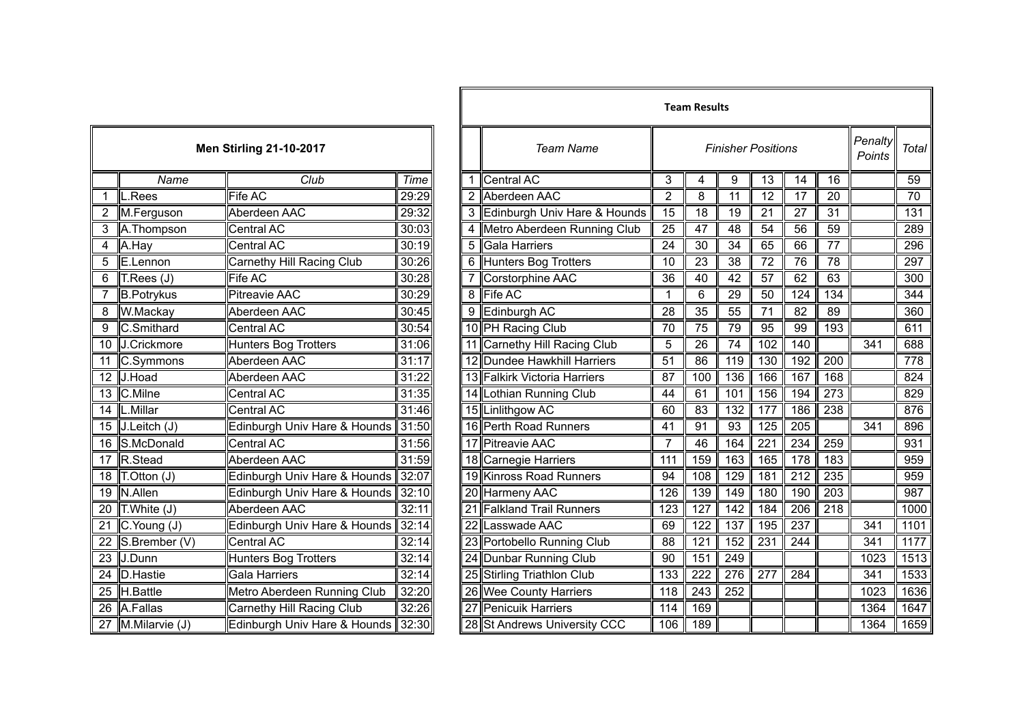|                 | <b>Men Stirling 21-10-2017</b> |                              |       |  |  |  |  |
|-----------------|--------------------------------|------------------------------|-------|--|--|--|--|
|                 | Name                           | Club                         | Time  |  |  |  |  |
| 1               | L.Rees                         | <b>Fife AC</b>               | 29:29 |  |  |  |  |
| $\overline{c}$  | M.Ferguson                     | Aberdeen AAC                 | 29:32 |  |  |  |  |
| 3               | A.Thompson                     | Central AC                   | 30:03 |  |  |  |  |
| 4               | A.Hay                          | Central AC                   | 30:19 |  |  |  |  |
| 5               | E.Lennon                       | Carnethy Hill Racing Club    | 30:26 |  |  |  |  |
| 6               | T.Rees (J)                     | Fife AC                      | 30:28 |  |  |  |  |
| 7               | <b>B.Potrykus</b>              | <b>Pitreavie AAC</b>         | 30:29 |  |  |  |  |
| 8               | W.Mackay                       | Aberdeen AAC                 | 30:45 |  |  |  |  |
| 9               | C.Smithard                     | Central AC                   | 30:54 |  |  |  |  |
| 10              | J.Crickmore                    | Hunters Bog Trotters         | 31:06 |  |  |  |  |
| 11              | C.Symmons                      | Aberdeen AAC                 | 31:17 |  |  |  |  |
| $\overline{12}$ | J.Hoad                         | Aberdeen AAC                 | 31:22 |  |  |  |  |
| 13              | C.Milne                        | Central AC                   | 31:35 |  |  |  |  |
| $\overline{14}$ | L.Millar                       | <b>Central AC</b>            | 31:46 |  |  |  |  |
| 15              | J.Leitch(J)                    | Edinburgh Univ Hare & Hounds | 31:50 |  |  |  |  |
| 16              | S.McDonald                     | <b>Central AC</b>            | 31:56 |  |  |  |  |
| $\overline{17}$ | R.Stead                        | Aberdeen AAC                 | 31:59 |  |  |  |  |
| 18              | T.Otton (J)                    | Edinburgh Univ Hare & Hounds | 32:07 |  |  |  |  |
| 19              | N.Allen                        | Edinburgh Univ Hare & Hounds | 32:10 |  |  |  |  |
| 20              | T.White (J)                    | Aberdeen AAC                 | 32:11 |  |  |  |  |
| $\overline{21}$ | C.Young (J)                    | Edinburgh Univ Hare & Hounds | 32:14 |  |  |  |  |
| 22              | S.Brember (V)                  | <b>Central AC</b>            | 32:14 |  |  |  |  |
| $\overline{23}$ | J.Dunn                         | Hunters Bog Trotters         | 32:14 |  |  |  |  |
| 24              | <b>D.Hastie</b>                | <b>Gala Harriers</b>         | 32:14 |  |  |  |  |
| 25              | H.Battle                       | Metro Aberdeen Running Club  | 32:20 |  |  |  |  |
| 26              | A.Fallas                       | Carnethy Hill Racing Club    | 32:26 |  |  |  |  |
| 27              | M.Milarvie (J)                 | Edinburgh Univ Hare & Hounds | 32:30 |  |  |  |  |

|                |                                                   |                                |       |  |                                |                  | <b>Team Results</b> |                  |                           |                  |                  |                   |                 |
|----------------|---------------------------------------------------|--------------------------------|-------|--|--------------------------------|------------------|---------------------|------------------|---------------------------|------------------|------------------|-------------------|-----------------|
|                |                                                   | <b>Men Stirling 21-10-2017</b> |       |  | <b>Team Name</b>               |                  |                     |                  | <b>Finisher Positions</b> |                  |                  | Penalty<br>Points | <b>Total</b>    |
|                | Name                                              | Club                           | Time  |  | 1 Central AC                   | 3                | 4                   | 9                | 13                        | 14               | 16               |                   | 59              |
| $\mathbf{1}$   | $\mathsf{L}$ . Rees                               | Fife AC                        | 29:29 |  | 2 Aberdeen AAC                 | $\overline{2}$   | 8                   | $\overline{11}$  | $\overline{12}$           | $\overline{17}$  | $\overline{20}$  |                   | $\overline{70}$ |
| $\overline{2}$ | M.Ferguson                                        | Aberdeen AAC                   | 29:32 |  | 3 Edinburgh Univ Hare & Hounds | 15               | 18                  | 19               | 21                        | 27               | $\overline{31}$  |                   | 131             |
| 3              | A.Thompson                                        | Central AC                     | 30:03 |  | Metro Aberdeen Running Club    | 25               | 47                  | 48               | 54                        | 56               | 59               |                   | 289             |
| 4              | A.Hay                                             | Central AC                     | 30:19 |  | 5 Gala Harriers                | 24               | 30                  | 34               | 65                        | 66               | $\overline{77}$  |                   | 296             |
| 5              | E.Lennon                                          | Carnethy Hill Racing Club      | 30:26 |  | 6 Hunters Bog Trotters         | 10               | 23                  | 38               | 72                        | 76               | 78               |                   | 297             |
| 6              | $\mathsf{T}.\mathsf{Rees}\left(\mathsf{J}\right)$ | $\overline{\mathsf{F}}$ ife AC | 30:28 |  | Corstorphine AAC               | 36               | 40                  | 42               | 57                        | 62               | 63               |                   | 300             |
|                | <b>B.Potrykus</b>                                 | <b>Pitreavie AAC</b>           | 30:29 |  | 8 Fife AC                      | $\mathbf 1$      | 6                   | 29               | 50                        | 124              | 134              |                   | 344             |
| 8              | W.Mackay                                          | Aberdeen AAC                   | 30:45 |  | 9 Edinburgh AC                 | 28               | 35                  | 55               | $\overline{71}$           | $\overline{82}$  | $\overline{89}$  |                   | 360             |
| $\overline{9}$ | C.Smithard                                        | Central AC                     | 30:54 |  | 10 PH Racing Club              | 70               | 75                  | 79               | $\overline{95}$           | 99               | 193              |                   | 611             |
|                | 10 J.Crickmore                                    | Hunters Bog Trotters           | 31:06 |  | 11 Carnethy Hill Racing Club   | 5                | 26                  | 74               | 102                       | 140              |                  | 341               | 688             |
|                | 11 C.Symmons                                      | Aberdeen AAC                   | 31:17 |  | 12 Dundee Hawkhill Harriers    | 51               | 86                  | 119              | 130                       | 192              | $\overline{200}$ |                   | 778             |
|                | 12 J.Hoad                                         | Aberdeen AAC                   | 31:22 |  | 13 Falkirk Victoria Harriers   | 87               | 100                 | 136              | 166                       | 167              | 168              |                   | 824             |
|                | 13 C.Milne                                        | Central AC                     | 31:35 |  | 14 Lothian Running Club        | 44               | 61                  | 101              | 156                       | 194              | 273              |                   | 829             |
|                | 14  L.Millar                                      | <b>Central AC</b>              | 31:46 |  | 15 Linlithgow AC               | 60               | 83                  | 132              | 177                       | 186              | 238              |                   | 876             |
|                | 15 $J.Leitch (J)$                                 | Edinburgh Univ Hare & Hounds   | 31:50 |  | 16 Perth Road Runners          | 41               | 91                  | 93               | 125                       | 205              |                  | 341               | 896             |
|                | 16 S.McDonald                                     | <b>Central AC</b>              | 31:56 |  | 17 Pitreavie AAC               | $\overline{7}$   | 46                  | 164              | $\overline{221}$          | 234              | 259              |                   | 931             |
|                | 17 R.Stead                                        | Aberdeen AAC                   | 31:59 |  | 18 Carnegie Harriers           | 111              | 159                 | 163              | 165                       | $\overline{178}$ | 183              |                   | 959             |
|                | 18 $\overline{\text{T}}$ . Otton (J)              | Edinburgh Univ Hare & Hounds   | 32:07 |  | 19 Kinross Road Runners        | 94               | 108                 | $\overline{129}$ | 181                       | $\overline{212}$ | 235              |                   | 959             |
|                | 19 N.Allen                                        | Edinburgh Univ Hare & Hounds   | 32:10 |  | 20 Harmeny AAC                 | 126              | 139                 | 149              | 180                       | 190              | $\overline{203}$ |                   | 987             |
|                | 20 $T.White (J)$                                  | Aberdeen AAC                   | 32:11 |  | 21 Falkland Trail Runners      | $\overline{123}$ | 127                 | $\overline{142}$ | 184                       | 206              | $\overline{218}$ |                   | 1000            |
|                | 21 $C$ . Young (J)                                | Edinburgh Univ Hare & Hounds   | 32:14 |  | 22 Lasswade AAC                | 69               | 122                 | 137              | 195                       | $\overline{237}$ |                  | 341               | 1101            |
| 22             | S.Brember (V)                                     | Central AC                     | 32:14 |  | 23 Portobello Running Club     | 88               | 121                 | 152              | 231                       | 244              |                  | 341               | 1177            |
|                | 23 J.Dunn                                         | Hunters Bog Trotters           | 32:14 |  | 24 Dunbar Running Club         | 90               | 151                 | 249              |                           |                  |                  | 1023              | 1513            |
|                | 24 D. Hastie                                      | <b>Gala Harriers</b>           | 32:14 |  | 25 Stirling Triathlon Club     | 133              | 222                 | 276              | 277                       | 284              |                  | 341               | 1533            |
|                | 25 H.Battle                                       | Metro Aberdeen Running Club    | 32:20 |  | 26 Wee County Harriers         | 118              | 243                 | 252              |                           |                  |                  | 1023              | 1636            |
|                | 26 A.Fallas                                       | Carnethy Hill Racing Club      | 32:26 |  | 27 Penicuik Harriers           | 114              | 169                 |                  |                           |                  |                  | 1364              | 1647            |
|                | 27 M.Milarvie (J)                                 | Edinburgh Univ Hare & Hounds   | 32:30 |  | 28 St Andrews University CCC   | 106              | 189                 |                  |                           |                  |                  | 1364              | 1659            |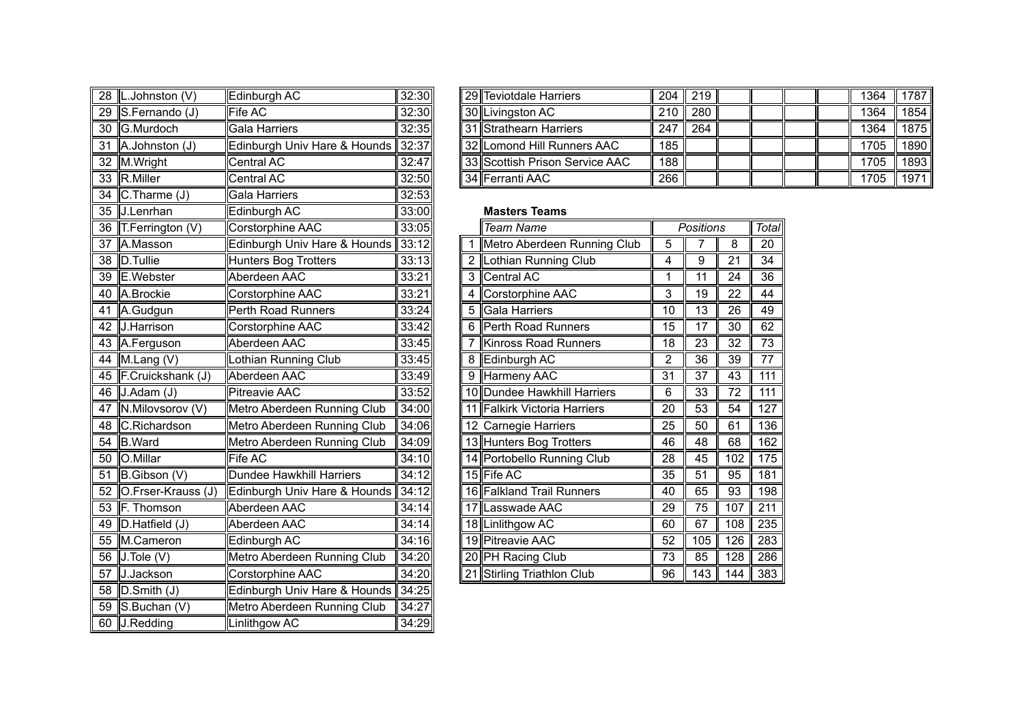|    | 28 L.Johnston (V)     | Edinburgh AC                    | 32:30 |              | 29 Teviotdale Harriers         | 204             | 219             |                 |                  |
|----|-----------------------|---------------------------------|-------|--------------|--------------------------------|-----------------|-----------------|-----------------|------------------|
| 29 | S.Fernando (J)        | <b>Fife AC</b>                  | 32:30 |              | 30 Livingston AC               | 210             | 280             |                 |                  |
|    | 30 G.Murdoch          | Gala Harriers                   | 32:35 |              | 31 Strathearn Harriers         | 247             | 264             |                 |                  |
| 31 | A.Johnston (J)        | Edinburgh Univ Hare & Hounds    | 32:37 |              | 32 Lomond Hill Runners AAC     | 185             |                 |                 |                  |
| 32 | M.Wright              | Central AC                      | 32:47 |              | 33 Scottish Prison Service AAC | 188             |                 |                 |                  |
| 33 | R.Miller              | Central AC                      | 32:50 |              | 34 Ferranti AAC                | 266             |                 |                 |                  |
| 34 | $C$ . Tharme $(J)$    | Gala Harriers                   | 32:53 |              |                                |                 |                 |                 |                  |
|    | 35 J.Lenrhan          | Edinburgh AC                    | 33:00 |              | <b>Masters Teams</b>           |                 |                 |                 |                  |
|    | 36   T.Ferrington (V) | Corstorphine AAC                | 33:05 |              | <b>Team Name</b>               |                 | Positions       |                 | Total            |
| 37 | A.Masson              | Edinburgh Univ Hare & Hounds    | 33:12 |              | Metro Aberdeen Running Club    | 5               | 7               | 8               | 20               |
| 38 | D.Tullie              | <b>Hunters Bog Trotters</b>     | 33:13 | $\mathbf{2}$ | <b>Lothian Running Club</b>    | 4               | 9               | 21              | $\overline{34}$  |
| 39 | E.Webster             | Aberdeen AAC                    | 33:21 | 3            | <b>Central AC</b>              | 1               | $\overline{11}$ | 24              | $\overline{36}$  |
| 40 | A.Brockie             | Corstorphine AAC                | 33:21 | 4            | Corstorphine AAC               | 3               | 19              | 22              | 44               |
| 41 | A.Gudgun              | Perth Road Runners              | 33:24 | 5            | Gala Harriers                  | 10              | 13              | 26              | 49               |
|    | 42 J.Harrison         | Corstorphine AAC                | 33:42 | 6            | Perth Road Runners             | 15              | 17              | 30              | 62               |
|    | 43 A.Ferguson         | Aberdeen AAC                    | 33:45 | 7            | <b>Kinross Road Runners</b>    | 18              | $\overline{23}$ | 32              | $\overline{73}$  |
| 44 | M.Lang (V)            | Lothian Running Club            | 33:45 | 8            | Edinburgh AC                   | 2               | 36              | 39              | 77               |
|    | 45 F.Cruickshank (J)  | Aberdeen AAC                    | 33:49 | 9            | <b>Harmeny AAC</b>             | $\overline{31}$ | $\overline{37}$ | $\overline{43}$ | 111              |
|    | 46 J.Adam (J)         | <b>Pitreavie AAC</b>            | 33:52 |              | 10 Dundee Hawkhill Harriers    | 6               | $\overline{33}$ | 72              | 111              |
| 47 | N.Milovsorov (V)      | Metro Aberdeen Running Club     | 34:00 |              | 11 Falkirk Victoria Harriers   | 20              | 53              | 54              | 127              |
| 48 | C.Richardson          | Metro Aberdeen Running Club     | 34:06 |              | 12 Carnegie Harriers           | 25              | 50              | 61              | 136              |
|    | 54 B.Ward             | Metro Aberdeen Running Club     | 34:09 |              | 13 Hunters Bog Trotters        | 46              | 48              | 68              | 162              |
| 50 | O.Millar              | Fife AC                         | 34:10 |              | 14 Portobello Running Club     | $\overline{28}$ | 45              | 102             | 175              |
| 51 | B.Gibson (V)          | <b>Dundee Hawkhill Harriers</b> | 34:12 |              | 15 Fife AC                     | 35              | 51              | 95              | 181              |
| 52 | O.Frser-Krauss (J)    | Edinburgh Univ Hare & Hounds    | 34:12 |              | 16 Falkland Trail Runners      | 40              | 65              | 93              | 198              |
|    | 53 F. Thomson         | Aberdeen AAC                    | 34:14 |              | 17 Lasswade AAC                | $\overline{29}$ | $\overline{75}$ | 107             | $\overline{211}$ |
| 49 | D.Hatfield (J)        | Aberdeen AAC                    | 34:14 |              | 18 Linlithgow AC               | 60              | 67              | 108             | 235              |
| 55 | M.Cameron             | Edinburgh AC                    | 34:16 |              | 19 Pitreavie AAC               | 52              | 105             | 126             | 283              |
| 56 | $J.$ Tole (V)         | Metro Aberdeen Running Club     | 34:20 |              | 20 PH Racing Club              | 73              | 85              | 128             | 286              |
| 57 | J.Jackson             | Corstorphine AAC                | 34:20 |              | 21 Stirling Triathlon Club     | 96              | 143             | 144             | 383              |
| 58 | $D.S$ mith $(J)$      | Edinburgh Univ Hare & Hounds    | 34:25 |              |                                |                 |                 |                 |                  |
| 59 | S.Buchan (V)          | Metro Aberdeen Running Club     | 34:27 |              |                                |                 |                 |                 |                  |
|    | 60 J.Redding          | Linlithgow AC                   | 34:29 |              |                                |                 |                 |                 |                  |

| 28  L.Johnston (V)  | Edinburgh AC                       | 32:30 |  | 29 Teviotdale Harriers         |                  | $204$   219 |  |  | 1364 | 1787 I |
|---------------------|------------------------------------|-------|--|--------------------------------|------------------|-------------|--|--|------|--------|
| 29 S.Fernando (J)   | Fife AC                            | 32:30 |  | 30 Livingston AC               |                  | $210$ 280   |  |  | 1364 | 1854 I |
| 30 <b>G.Murdoch</b> | Gala Harriers                      | 32:35 |  | 31 Strathearn Harriers         | 247 <sub>h</sub> | 264         |  |  | 1364 | 1875 I |
| 31 A.Johnston (J)   | Edinburgh Univ Hare & Hounds 32:37 |       |  | 32 Lomond Hill Runners AAC     | 185              |             |  |  | 1705 | 1890   |
| 32 M.Wright         | Central AC                         | 32:47 |  | 33 Scottish Prison Service AAC | 188              |             |  |  | 1705 | 1893   |
| 33 R.Miller         | Central AC                         | 32:50 |  | l 34 llFerranti AAC            | 266              |             |  |  | 1705 | 1971   |

## **Masters Teams**

|   | <b>Team Name</b>             |                | Positions |     | <b>Total</b>     |
|---|------------------------------|----------------|-----------|-----|------------------|
| 1 | Metro Aberdeen Running Club  | 5              | 7         | 8   | 20               |
| 2 | Lothian Running Club         | 4              | 9         | 21  | 34               |
| 3 | Central AC                   | 1              | 11        | 24  | 36               |
| 4 | Corstorphine AAC             | 3              | 19        | 22  | 44               |
| 5 | Gala Harriers                | 10             | 13        | 26  | 49               |
| 6 | Perth Road Runners           | 15             | 17        | 30  | 62               |
| 7 | Kinross Road Runners         | 18             | 23        | 32  | 73               |
| 8 | Edinburgh AC                 | $\overline{2}$ | 36        | 39  | 77               |
| 9 | Harmeny AAC                  | 31             | 37        | 43  | $\overline{111}$ |
|   | 10 Dundee Hawkhill Harriers  | 6              | 33        | 72  | 111              |
|   | 11 Falkirk Victoria Harriers | 20             | 53        | 54  | 127              |
|   | 12 Carnegie Harriers         | 25             | 50        | 61  | 136              |
|   | 13 Hunters Bog Trotters      | 46             | 48        | 68  | 162              |
|   | 14 Portobello Running Club   | 28             | 45        | 102 | 175              |
|   | 15 Fife AC                   | 35             | 51        | 95  | 181              |
|   | 16 Falkland Trail Runners    | 40             | 65        | 93  | 198              |
|   | 17 Lasswade AAC              | 29             | 75        | 107 | 211              |
|   | 18 Linlithgow AC             | 60             | 67        | 108 | 235              |
|   | 19 Pitreavie AAC             | 52             | 105       | 126 | 283              |
|   | 20 PH Racing Club            | 73             | 85        | 128 | 286              |
|   | 21 Stirling Triathlon Club   | 96             | 143       | 144 | 383              |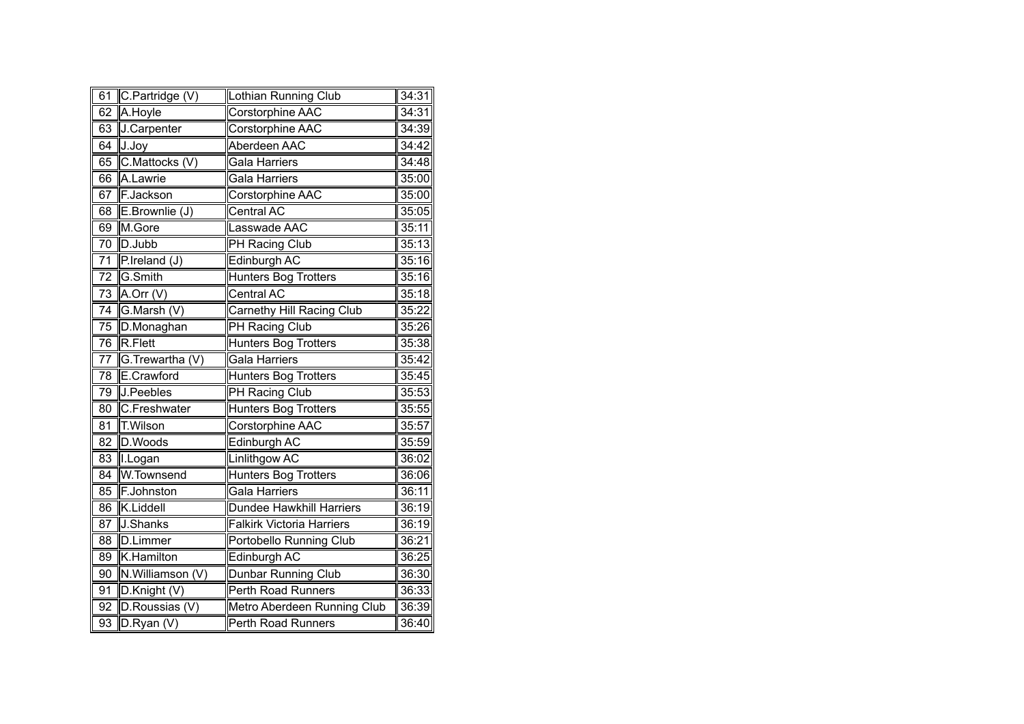| 61              | C.Partridge (V)  | Lothian Running Club             | 34:31 |
|-----------------|------------------|----------------------------------|-------|
| 62              | A.Hoyle          | Corstorphine AAC                 | 34:31 |
| 63              | J.Carpenter      | Corstorphine AAC                 | 34:39 |
| 64              | J.Joy            | Aberdeen AAC                     | 34:42 |
| 65              | C.Mattocks (V)   | Gala Harriers                    | 34:48 |
| 66              | A.Lawrie         | Gala Harriers                    | 35:00 |
| 67              | F.Jackson        | Corstorphine AAC                 | 35:00 |
| 68              | E.Brownlie (J)   | <b>Central AC</b>                | 35:05 |
| 69              | M.Gore           | Lasswade AAC                     | 35:11 |
| 70              | D.Jubb           | PH Racing Club                   | 35:13 |
| $\overline{71}$ | P.Ireland (J)    | Edinburgh AC                     | 35:16 |
| $\overline{72}$ | G.Smith          | <b>Hunters Bog Trotters</b>      | 35:16 |
| 73              | $A.$ Orr $(V)$   | <b>Central AC</b>                | 35:18 |
| $\overline{74}$ | G.Marsh (V)      | <b>Carnethy Hill Racing Club</b> | 35:22 |
| $\overline{75}$ | D.Monaghan       | <b>PH Racing Club</b>            | 35:26 |
| 76              | R.Flett          | <b>Hunters Bog Trotters</b>      | 35:38 |
| 77              | G.Trewartha (V)  | <b>Gala Harriers</b>             | 35:42 |
| 78              | E.Crawford       | <b>Hunters Bog Trotters</b>      | 35:45 |
| 79              | J.Peebles        | <b>PH Racing Club</b>            | 35:53 |
| 80              | C.Freshwater     | <b>Hunters Bog Trotters</b>      | 35:55 |
| 81              | <b>T.Wilson</b>  | Corstorphine AAC                 | 35:57 |
| $\overline{82}$ | D.Woods          | Edinburgh AC                     | 35:59 |
| 83              | II.Logan         | <b>Linlithgow AC</b>             | 36:02 |
| 84              | W.Townsend       | <b>Hunters Bog Trotters</b>      | 36:06 |
| 85              | F.Johnston       | <b>Gala Harriers</b>             | 36:11 |
| 86              | K.Liddell        | <b>Dundee Hawkhill Harriers</b>  | 36:19 |
| 87              | J.Shanks         | <b>Falkirk Victoria Harriers</b> | 36:19 |
| 88              | D.Limmer         | Portobello Running Club          | 36:21 |
| $\overline{89}$ | K.Hamilton       | Edinburgh AC                     | 36:25 |
| 90              | N.Williamson (V) | Dunbar Running Club              | 36:30 |
| 91              | D.Knight (V)     | Perth Road Runners               | 36:33 |
| 92              | D.Roussias (V)   | Metro Aberdeen Running Club      | 36:39 |
| 93              | $D.R$ yan (V)    | Perth Road Runners               | 36:40 |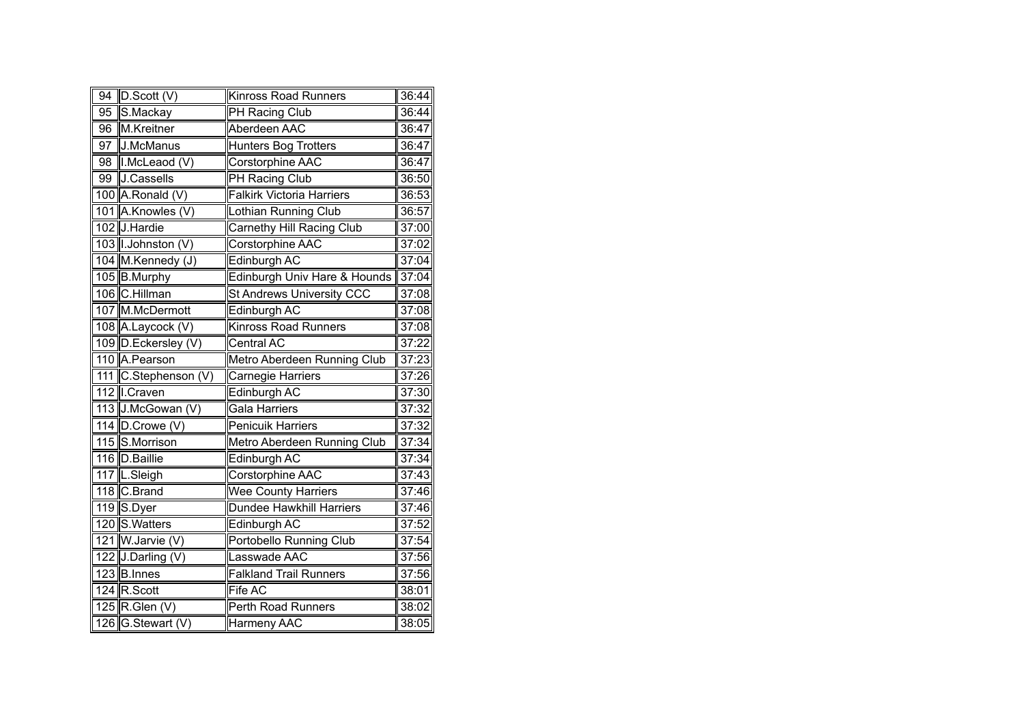| $9\overline{4}$ | $\overline{D}.\overline{Scott}$ (V) | <b>Kinross Road Runners</b>      | 36:44 |
|-----------------|-------------------------------------|----------------------------------|-------|
| 95              | S.Mackay                            | PH Racing Club                   | 36:44 |
| 96              | M.Kreitner                          | Aberdeen AAC                     | 36:47 |
| 97              | J.McManus                           | <b>Hunters Bog Trotters</b>      | 36:47 |
| 98              | I.McLeaod (V)                       | Corstorphine AAC                 | 36:47 |
| 99              | J.Cassells                          | <b>PH Racing Club</b>            | 36:50 |
|                 | 100 A.Ronald (V)                    | <b>Falkirk Victoria Harriers</b> | 36:53 |
|                 | 101 A.Knowles (V)                   | Lothian Running Club             | 36:57 |
|                 | 102 J.Hardie                        | <b>Carnethy Hill Racing Club</b> | 37:00 |
|                 | 103   I.Johnston (V)                | <b>Corstorphine AAC</b>          | 37:02 |
|                 | 104 M.Kennedy (J)                   | Edinburgh AC                     | 37:04 |
|                 | 105 B.Murphy                        | Edinburgh Univ Hare & Hounds     | 37:04 |
|                 | 106 C.Hillman                       | St Andrews University CCC        | 37:08 |
|                 | 107 M.McDermott                     | Edinburgh AC                     | 37:08 |
|                 | 108 A.Laycock (V)                   | Kinross Road Runners             | 37:08 |
|                 | 109 D.Eckersley (V)                 | Central AC                       | 37:22 |
|                 | 110 A. Pearson                      | Metro Aberdeen Running Club      | 37:23 |
|                 | 111 C.Stephenson (V)                | Carnegie Harriers                | 37:26 |
|                 | 112   I.Craven                      | <b>Edinburgh AC</b>              | 37:30 |
|                 | 113 J.McGowan (V)                   | Gala Harriers                    | 37:32 |
|                 | 114 D.Crowe (V)                     | <b>Penicuik Harriers</b>         | 37:32 |
|                 | 115 S.Morrison                      | Metro Aberdeen Running Club      | 37:34 |
|                 | 116 D.Baillie                       | Edinburgh AC                     | 37:34 |
|                 | 117 L.Sleigh                        | Corstorphine AAC                 | 37:43 |
|                 | 118 C.Brand                         | <b>Wee County Harriers</b>       | 37:46 |
|                 | 119 S.Dyer                          | <b>Dundee Hawkhill Harriers</b>  | 37:46 |
|                 | 120 S. Watters                      | Edinburgh AC                     | 37:52 |
|                 | 121 W.Jarvie (V)                    | Portobello Running Club          | 37:54 |
|                 | 122 J.Darling (V)                   | Lasswade AAC                     | 37:56 |
|                 | 123 B.Innes                         | <b>Falkland Trail Runners</b>    | 37:56 |
|                 | 124 R.Scott                         | Fife AC                          | 38:01 |
|                 | 125 R.Glen (V)                      | Perth Road Runners               | 38:02 |
|                 | 126 G.Stewart (V)                   | Harmeny AAC                      | 38:05 |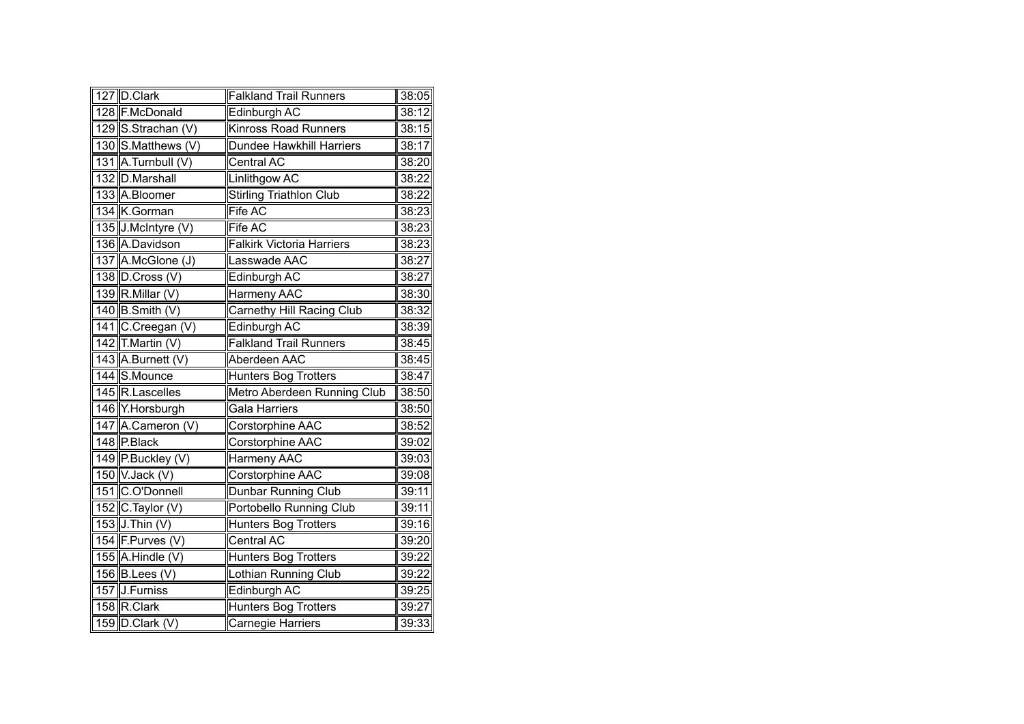| 127 D.Clark        | <b>Falkland Trail Runners</b>    | 38:05 |
|--------------------|----------------------------------|-------|
| 128 F.McDonald     | Edinburgh AC                     | 38:12 |
| 129 S.Strachan (V) | <b>Kinross Road Runners</b>      | 38:15 |
| 130 S.Matthews (V) | Dundee Hawkhill Harriers         | 38:17 |
| 131 A.Turnbull (V) | Central AC                       | 38:20 |
| 132 D.Marshall     | Linlithgow AC                    | 38:22 |
| 133 A.Bloomer      | <b>Stirling Triathlon Club</b>   | 38:22 |
| 134 K.Gorman       | Fife AC                          | 38:23 |
| 135 J.McIntyre (V) | Fife AC                          | 38:23 |
| 136 A.Davidson     | <b>Falkirk Victoria Harriers</b> | 38:23 |
| 137 A.McGlone (J)  | Lasswade AAC                     | 38:27 |
| 138 D.Cross (V)    | Edinburgh AC                     | 38:27 |
| 139 R.Millar (V)   | Harmeny AAC                      | 38:30 |
| 140 B.Smith (V)    | <b>Carnethy Hill Racing Club</b> | 38:32 |
| 141 C.Creegan (V)  | Edinburgh AC                     | 38:39 |
| 142 T.Martin (V)   | <b>Falkland Trail Runners</b>    | 38:45 |
| 143 A.Burnett (V)  | Aberdeen AAC                     | 38:45 |
| 144 S.Mounce       | <b>Hunters Bog Trotters</b>      | 38:47 |
| 145 R.Lascelles    | Metro Aberdeen Running Club      | 38:50 |
| 146 Y.Horsburgh    | Gala Harriers                    | 38:50 |
| 147 A.Cameron (V)  | Corstorphine AAC                 | 38:52 |
| 148 P.Black        | Corstorphine AAC                 | 39:02 |
| 149 P.Buckley (V)  | <b>Harmeny AAC</b>               | 39:03 |
| 150 V.Jack (V)     | Corstorphine AAC                 | 39:08 |
| 151 C.O'Donnell    | Dunbar Running Club              | 39:11 |
| 152 C.Taylor (V)   | Portobello Running Club          | 39:11 |
| 153 J.Thin (V)     | <b>Hunters Bog Trotters</b>      | 39:16 |
| 154 F.Purves (V)   | <b>Central AC</b>                | 39:20 |
| 155 A.Hindle (V)   | <b>Hunters Bog Trotters</b>      | 39:22 |
| 156 B.Lees (V)     | Lothian Running Club             | 39:22 |
| 157 J.Furniss      | Edinburgh AC                     | 39:25 |
| 158 R.Clark        | <b>Hunters Bog Trotters</b>      | 39:27 |
| 159 D.Clark (V)    | Carnegie Harriers                | 39:33 |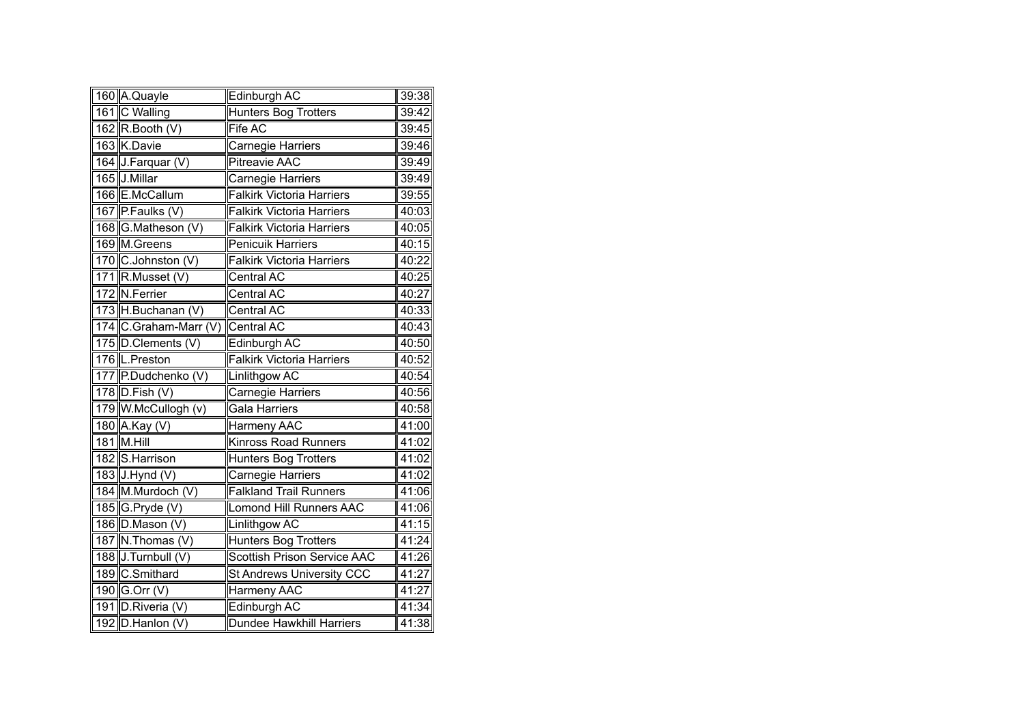| 160 A.Quayle          | Edinburgh AC                       | 39:38 |
|-----------------------|------------------------------------|-------|
| 161 C Walling         | <b>Hunters Bog Trotters</b>        | 39:42 |
| 162 $R$ . Booth (V)   | Fife AC                            | 39:45 |
| 163 K.Davie           | Carnegie Harriers                  | 39:46 |
| 164 J.Farquar (V)     | <b>Pitreavie AAC</b>               | 39:49 |
| 165 J.Millar          | Carnegie Harriers                  | 39:49 |
| 166 E.McCallum        | <b>Falkirk Victoria Harriers</b>   | 39:55 |
| 167 P.Faulks (V)      | <b>Falkirk Victoria Harriers</b>   | 40:03 |
| 168 G.Matheson (V)    | <b>Falkirk Victoria Harriers</b>   | 40:05 |
| 169 M.Greens          | <b>Penicuik Harriers</b>           | 40:15 |
| 170 C.Johnston (V)    | <b>Falkirk Victoria Harriers</b>   | 40:22 |
| 171 R.Musset (V)      | Central AC                         | 40:25 |
| 172 N.Ferrier         | Central AC                         | 40:27 |
| 173 H.Buchanan (V)    | Central AC                         | 40:33 |
| 174 C.Graham-Marr (V) | Central AC                         | 40:43 |
| 175 D.Clements (V)    | Edinburgh AC                       | 40:50 |
| 176 L. Preston        | <b>Falkirk Victoria Harriers</b>   | 40:52 |
| 177 P.Dudchenko (V)   | Linlithgow AC                      | 40:54 |
| 178 D.Fish (V)        | <b>Carnegie Harriers</b>           | 40:56 |
| 179 W.McCullogh (v)   | <b>Gala Harriers</b>               | 40:58 |
| 180 A.Kay (V)         | <b>Harmeny AAC</b>                 | 41:00 |
| 181 M.Hill            | <b>Kinross Road Runners</b>        | 41:02 |
| 182 S.Harrison        | <b>Hunters Bog Trotters</b>        | 41:02 |
| 183 J.Hynd (V)        | Carnegie Harriers                  | 41:02 |
| 184 M.Murdoch (V)     | <b>Falkland Trail Runners</b>      | 41:06 |
| 185 G.Pryde (V)       | <b>Lomond Hill Runners AAC</b>     | 41:06 |
| 186 D.Mason (V)       | Linlithgow AC                      | 41:15 |
| 187 N.Thomas (V)      | <b>Hunters Bog Trotters</b>        | 41:24 |
| 188 J.Turnbull (V)    | <b>Scottish Prison Service AAC</b> | 41:26 |
| 189 C.Smithard        | <b>St Andrews University CCC</b>   | 41:27 |
| 190 G.Orr (V)         | Harmeny AAC                        | 41:27 |
| 191 D.Riveria (V)     | Edinburgh AC                       | 41:34 |
| 192 D.Hanlon (V)      | <b>Dundee Hawkhill Harriers</b>    | 41:38 |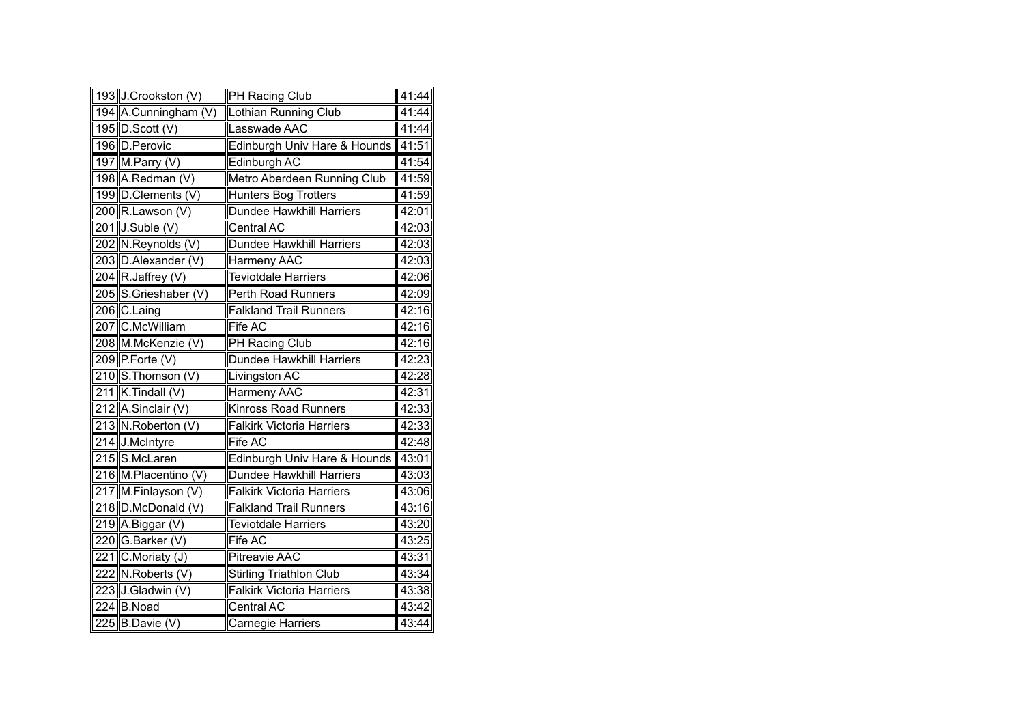| 193 J.Crookston (V)  | PH Racing Club                   | 41:44 |
|----------------------|----------------------------------|-------|
| 194 A.Cunningham (V) | Lothian Running Club             | 41:44 |
| 195 D.Scott (V)      | Lasswade AAC                     | 41:44 |
| 196 D. Perovic       | Edinburgh Univ Hare & Hounds     | 41:51 |
| $197$ M. Parry (V)   | Edinburgh AC                     | 41:54 |
| 198 A.Redman (V)     | Metro Aberdeen Running Club      | 41:59 |
| 199 D.Clements (V)   | <b>Hunters Bog Trotters</b>      | 41:59 |
| 200 R.Lawson (V)     | Dundee Hawkhill Harriers         | 42:01 |
| $201$ J.Suble (V)    | Central AC                       | 42:03 |
| 202 N.Reynolds (V)   | Dundee Hawkhill Harriers         | 42:03 |
| 203 D.Alexander (V)  | Harmeny AAC                      | 42:03 |
| 204 R.Jaffrey $(V)$  | <b>Teviotdale Harriers</b>       | 42:06 |
| 205 S.Grieshaber (V) | Perth Road Runners               | 42:09 |
| 206 C.Laing          | <b>Falkland Trail Runners</b>    | 42:16 |
| 207 C.McWilliam      | <b>Fife AC</b>                   | 42:16 |
| 208 M.McKenzie (V)   | PH Racing Club                   | 42:16 |
| 209 $P$ . Forte (V)  | Dundee Hawkhill Harriers         | 42:23 |
| 210 S.Thomson (V)    | Livingston AC                    | 42:28 |
| 211 K.Tindall (V)    | <b>Harmeny AAC</b>               | 42:31 |
| 212 A.Sinclair (V)   | <b>Kinross Road Runners</b>      | 42:33 |
| 213 N.Roberton (V)   | <b>Falkirk Victoria Harriers</b> | 42:33 |
| 214 J.McIntyre       | <b>Fife AC</b>                   | 42:48 |
| 215 S.McLaren        | Edinburgh Univ Hare & Hounds     | 43:01 |
| 216 M.Placentino (V) | Dundee Hawkhill Harriers         | 43:03 |
| 217 M.Finlayson (V)  | <b>Falkirk Victoria Harriers</b> | 43:06 |
| 218 D.McDonald (V)   | <b>Falkland Trail Runners</b>    | 43:16 |
| 219 A.Biggar (V)     | Teviotdale Harriers              | 43:20 |
| 220 G.Barker (V)     | <b>Fife AC</b>                   | 43:25 |
| 221 C.Moriaty (J)    | <b>Pitreavie AAC</b>             | 43:31 |
| 222 N.Roberts (V)    | <b>Stirling Triathlon Club</b>   | 43:34 |
| 223 J.Gladwin (V)    | <b>Falkirk Victoria Harriers</b> | 43:38 |
| 224 B.Noad           | Central AC                       | 43:42 |
| 225 $B.Davie (V)$    | Carnegie Harriers                | 43:44 |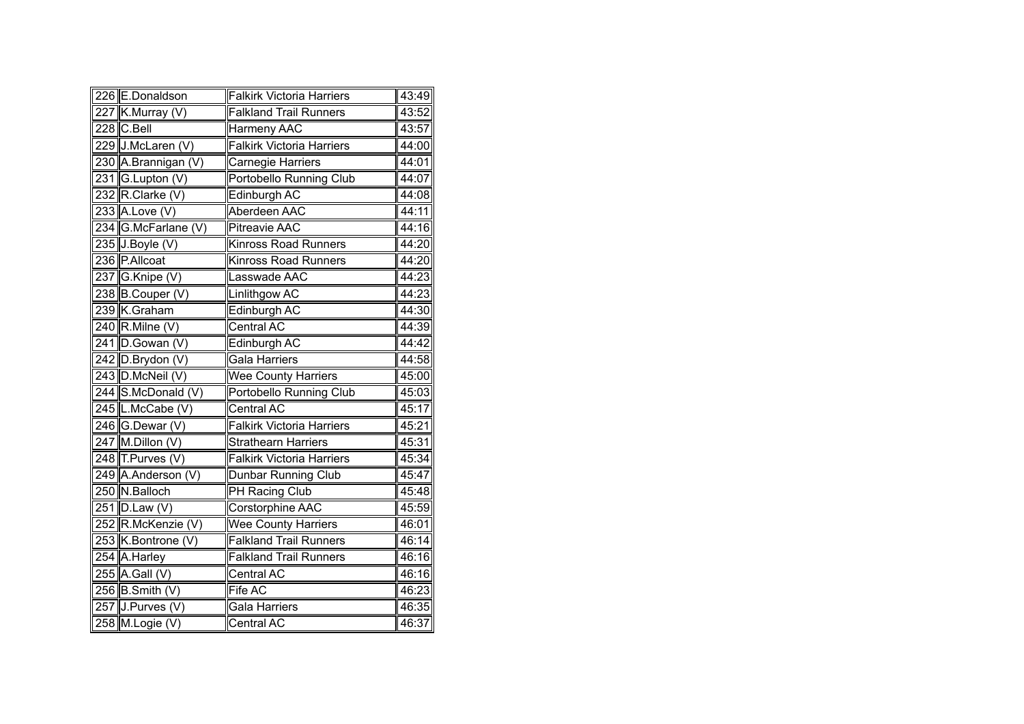| 226 E.Donaldson     | <b>Falkirk Victoria Harriers</b> | 43:49 |
|---------------------|----------------------------------|-------|
| 227 K.Murray (V)    | <b>Falkland Trail Runners</b>    | 43:52 |
| 228 C.Bell          | Harmeny AAC                      | 43:57 |
| 229 J.McLaren (V)   | <b>Falkirk Victoria Harriers</b> | 44:00 |
| 230 A.Brannigan (V) | Carnegie Harriers                | 44:01 |
| 231 G.Lupton (V)    | Portobello Running Club          | 44:07 |
| 232 R.Clarke (V)    | Edinburgh AC                     | 44:08 |
| 233 A.Love (V)      | Aberdeen AAC                     | 44:11 |
| 234 G.McFarlane (V) | <b>Pitreavie AAC</b>             | 44:16 |
| 235 J.Boyle (V)     | <b>Kinross Road Runners</b>      | 44:20 |
| 236 P.Allcoat       | <b>Kinross Road Runners</b>      | 44:20 |
| 237 G.Knipe (V)     | Lasswade AAC                     | 44:23 |
| 238 B.Couper (V)    | Linlithgow AC                    | 44:23 |
| 239 K.Graham        | Edinburgh AC                     | 44:30 |
| $240$ R. Milne (V)  | <b>Central AC</b>                | 44:39 |
| 241 D.Gowan (V)     | Edinburgh AC                     | 44:42 |
| 242 D.Brydon (V)    | <b>Gala Harriers</b>             | 44:58 |
| 243 D.McNeil (V)    | <b>Wee County Harriers</b>       | 45:00 |
| 244 S.McDonald (V)  | Portobello Running Club          | 45:03 |
| 245 L.McCabe (V)    | <b>Central AC</b>                | 45:17 |
| 246 G.Dewar (V)     | <b>Falkirk Victoria Harriers</b> | 45:21 |
| $247$ M.Dillon (V)  | <b>Strathearn Harriers</b>       | 45:31 |
| 248 T.Purves (V)    | <b>Falkirk Victoria Harriers</b> | 45:34 |
| 249 A.Anderson (V)  | Dunbar Running Club              | 45:47 |
| 250 N.Balloch       | <b>PH Racing Club</b>            | 45:48 |
| 251 D.Law (V)       | Corstorphine AAC                 | 45:59 |
| 252 R.McKenzie (V)  | <b>Wee County Harriers</b>       | 46:01 |
| 253 K.Bontrone (V)  | <b>Falkland Trail Runners</b>    | 46:14 |
| 254 A.Harley        | <b>Falkland Trail Runners</b>    | 46:16 |
| $255$ A.Gall (V)    | <b>Central AC</b>                | 46:16 |
| $256$ B. Smith (V)  | Fife AC                          | 46:23 |
| 257 J.Purves (V)    | Gala Harriers                    | 46:35 |
| 258 M.Logie (V)     | Central AC                       | 46:37 |